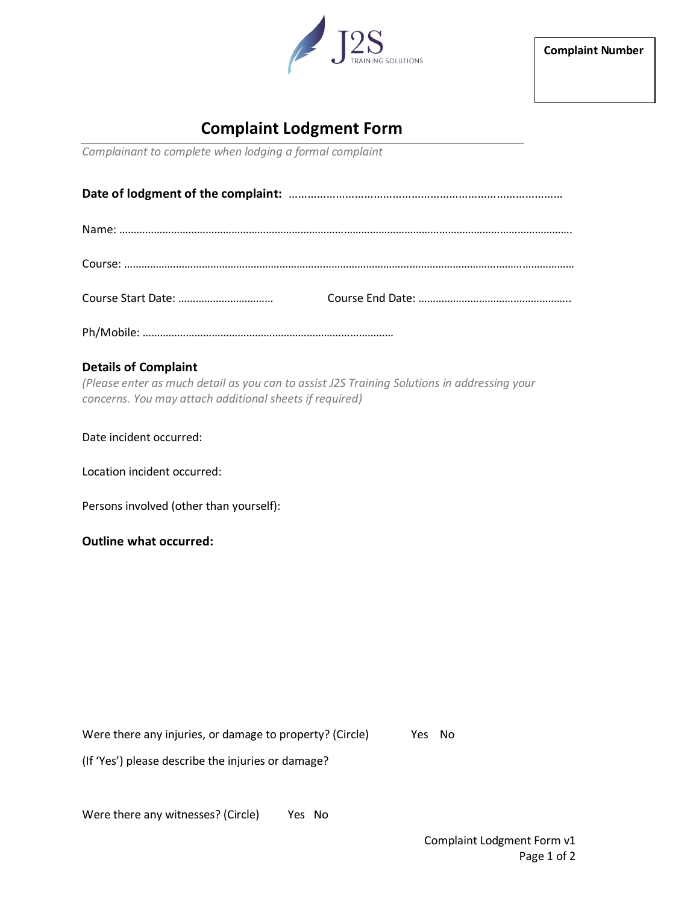

**Complaint Number**

## **Complaint Lodgment Form**

*Complainant to complete when lodging a formal complaint*

Ph/Mobile: ……………………………………………………………………………

## **Details of Complaint**

*(Please enter as much detail as you can to assist J2S Training Solutions in addressing your concerns. You may attach additional sheets if required)*

Date incident occurred:

Location incident occurred:

Persons involved (other than yourself):

**Outline what occurred:**

Were there any injuries, or damage to property? (Circle) Yes No

(If 'Yes') please describe the injuries or damage?

Were there any witnesses? (Circle) Yes No